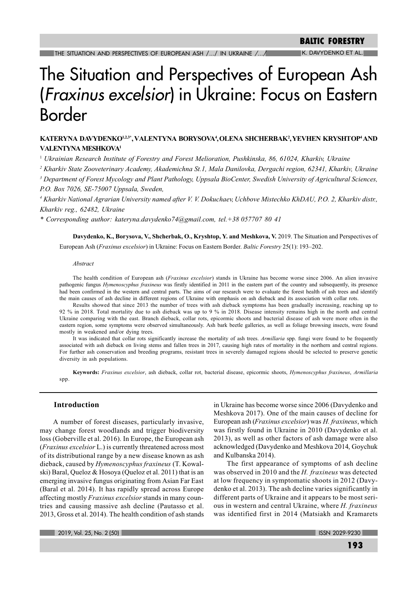# K. DAVYDENKO ET AL

# The Situation and Perspectives of European Ash (Fraxinus excelsior) in Ukraine: Focus on Eastern Border

# KATERYNA DAVYDENKO<sup>1,23\*</sup>, VALENTYNA BORYSOVA<sup>4</sup>, OLENA SHCHERBAK<sup>2</sup>, YEVHEN KRYSHTOP<sup>4</sup> AND VALENTYNA MESHKOVA<sup>1</sup>

<sup>1</sup> Ukrainian Research Institute of Forestry and Forest Melioration, Pushkinska, 86, 61024, Kharkiy, Ukraine

<sup>2</sup> Kharkiv State Zooveterinary Academy, Akademichna St.1, Mala Danilovka, Dergachi region, 62341, Kharkiv, Ukraine

<sup>3</sup> Department of Forest Mycology and Plant Pathology, Uppsala BioCenter, Swedish University of Agricultural Sciences, P.O. Box 7026, SE-75007 Uppsala, Sweden,

<sup>4</sup> Kharkiv National Agrarian University named after V. V. Dokuchaev, Uchbove Mistechko KhDAU, P.O. 2, Kharkiv distr., Kharkiv reg., 62482, Ukraine

\* Corresponding author: kateryna.dayydenko74@gmail.com, tel.+38 057707 80 41

Davydenko, K., Borysova, V., Shcherbak, O., Kryshtop, Y. and Meshkova, V. 2019. The Situation and Perspectives of European Ash (Fraxinus excelsior) in Ukraine: Focus on Eastern Border. Baltic Forestry 25(1): 193-202.

#### Abstract

The health condition of European ash (Fraxinus excelsior) stands in Ukraine has become worse since 2006. An alien invasive pathogenic fungus Hymenoscyphus fraxineus was firstly identified in 2011 in the eastern part of the country and subsequently, its presence had been confirmed in the western and central parts. The aims of our research were to evaluate the forest health of ash trees and identify the main causes of ash decline in different regions of Ukraine with emphasis on ash dieback and its association with collar rots.

Results showed that since 2013 the number of trees with ash dieback symptoms has been gradually increasing, reaching up to 92 % in 2018. Total mortality due to ash dieback was up to 9 % in 2018. Disease intensity remains high in the north and central Ukraine comparing with the east. Branch dieback, collar rots, epicormic shoots and bacterial disease of ash were more often in the eastern region, some symptoms were observed simultaneously. Ash bark beetle galleries, as well as foliage browsing insects, were found mostly in weakened and/or dying trees.

It was indicated that collar rots significantly increase the mortality of ash trees. Armillaria spp. fungi were found to be frequently associated with ash dieback on living stems and fallen trees in 2017, causing high rates of mortality in the northern and central regions. For further ash conservation and breeding programs, resistant trees in severely damaged regions should be selected to preserve genetic diversity in ash populations.

Keywords: Fraxinus excelsior, ash dieback, collar rot, bacterial disease, epicormic shoots, Hymenoscyphus fraxineus, Armillaria spp.

# **Introduction**

A number of forest diseases, particularly invasive, may change forest woodlands and trigger biodiversity loss (Goberville et al. 2016). In Europe, the European ash (*Fraxinus excelsior* L.) is currently threatened across most of its distributional range by a new disease known as ash dieback, caused by *Hymenoscyphus fraxineus* (T. Kowalski) Baral, Queloz & Hosoya (Queloz et al. 2011) that is an emerging invasive fungus originating from Asian Far East (Baral et al. 2014). It has rapidly spread across Europe affecting mostly Fraxinus excelsior stands in many countries and causing massive ash decline (Pautasso et al. 2013, Gross et al. 2014). The health condition of ash stands

in Ukraine has become worse since 2006 (Davydenko and Meshkova 2017). One of the main causes of decline for European ash (Fraxinus excelsior) was H. fraxineus, which was firstly found in Ukraine in 2010 (Davydenko et al. 2013), as well as other factors of ash damage were also acknowledged (Davydenko and Meshkova 2014, Goychuk and Kulbanska 2014).

The first appearance of symptoms of ash decline was observed in 2010 and the H. fraxineus was detected at low frequency in symptomatic shoots in 2012 (Davydenko et al. 2013). The ash decline varies significantly in different parts of Ukraine and it appears to be most serious in western and central Ukraine, where H. fraxineus was identified first in 2014 (Matsiakh and Kramarets

2019, Vol. 25, No. 2 (50)

**ISSN 2029-9230**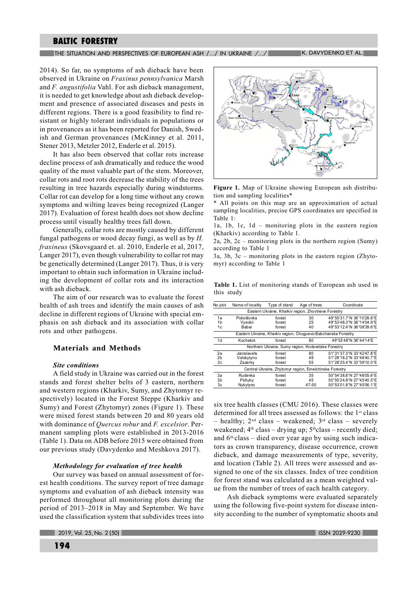# The situation and perspectives of european ash  $/$  ...  $/$  in ukraine  $/$  ...  $/$   $\blacksquare$  ...  $\blacksquare$  K. Davydenko et al.

2014). So far, no symptoms of ash dieback have been observed in Ukraine on Fraxinus pennsylvanica Marsh and F. angustifolia Vahl. For ash dieback management, it is needed to get knowledge about ash dieback development and presence of associated diseases and pests in different regions. There is a good feasibility to find resistant or highly tolerant individuals in populations or in provenances as it has been reported for Danish, Swedish and German provenances (McKinney et al. 2011, Stener 2013, Metzler 2012, Enderle et al. 2015).

It has also been observed that collar rots increase decline process of ash dramatically and reduce the wood quality of the most valuable part of the stem. Moreover, collar rots and root rots decrease the stability of the trees resulting in tree hazards especially during windstorms. Collar rot can develop for a long time without any crown symptoms and wilting leaves being recognized (Langer 2017). Evaluation of forest health does not show decline process until visually healthy trees fall down.

Generally, collar rots are mostly caused by different fungal pathogens or wood decay fungi, as well as by  $H$ . fraxineus (Skovsgaard et. al. 2010, Enderle et al, 2017, Langer 2017), even though vulnerability to collar rot may be genetically determined (Langer 2017). Thus, it is very important to obtain such information in Ukraine including the development of collar rots and its interaction with ash dieback.

The aim of our research was to evaluate the forest health of ash trees and identify the main causes of ash decline in different regions of Ukraine with special emphasis on ash dieback and its association with collar rots and other pathogens.

# **Materials and Methods**

# **Site conditions**

A field study in Ukraine was carried out in the forest stands and forest shelter belts of 3 eastern, northern and western regions (Kharkiv, Sumy, and Zhytomyr respectively) located in the Forest Steppe (Kharkiv and Sumv) and Forest (Zhytomyr) zones (Figure 1). These were mixed forest stands between 20 and 80 years old with dominance of *Ouercus robur* and *F. excelsior*. Permanent sampling plots were established in 2013-2016 (Table 1). Data on ADB before 2015 were obtained from our previous study (Davydenko and Meshkova 2017).

#### Methodology for evaluation of tree health

Our survey was based on annual assessment of forest health conditions. The survey report of tree damage symptoms and evaluation of ash dieback intensity was performed throughout all monitoring plots during the period of 2013–2018 in May and September. We have used the classification system that subdivides trees into



Figure 1. Map of Ukraine showing European ash distribution and sampling localities\*

\* All points on this map are an approximation of actual sampling localities, precise GPS coordinates are specified in Table 1:

la, lb, lc, ld - monitoring plots in the eastern region (Kharkiy) according to Table 1.

2a, 2b, 2c – monitoring plots in the northern region (Sumy) according to Table 1

 $3a, 3b, 3c$  – monitoring plots in the eastern region (Zhytomvr) according to Table  $\overline{1}$ 

Table 1. List of monitoring stands of European ash used in this study

| No plot        | Name of locality                                              | Type of stand                                          | Age of trees | Coordinate                |  |  |  |  |  |
|----------------|---------------------------------------------------------------|--------------------------------------------------------|--------------|---------------------------|--|--|--|--|--|
|                | Eastern Ukraine, Kharkiv region, Zhovtneve Forestry           |                                                        |              |                           |  |  |  |  |  |
| 1a             | Pokotilovka                                                   | forest                                                 | 30           | 49°55'31.7"N 36°10'28.8"E |  |  |  |  |  |
| 1b             | Vysokii                                                       | forest                                                 | 25           | 49°53'48.3"N 36°14'04.9"E |  |  |  |  |  |
| 1c             | Babai                                                         | forest                                                 | 40           | 49°53'12.4"N 36°08'39.6"E |  |  |  |  |  |
|                | Eastern Ukraine, Kharkiv region, Chuguevo-Babchanske Forestry |                                                        |              |                           |  |  |  |  |  |
| 1d             | Kochetok                                                      | forest                                                 | 80           | 49°53'48"N 36°44'14"E     |  |  |  |  |  |
|                | Northern Ukraine, Sumy region, Krolevetske Forestry           |                                                        |              |                           |  |  |  |  |  |
| 2a             | Jaroslavets                                                   | forest                                                 | 80           | 51°31'37.3"N 33°42'47.8"E |  |  |  |  |  |
| 2 <sub>b</sub> | Volokytyno                                                    | forest                                                 | 48           | 51°28'18.2"N 33°46'40.7"E |  |  |  |  |  |
| 2c             | Zazerky                                                       | forest                                                 | 55           | 51°28'25.4"N 33°39'10.0"E |  |  |  |  |  |
|                |                                                               | Central Ukraine, Zhytomyr region, Emelchinske Forestry |              |                           |  |  |  |  |  |
| 3a             | Rudenka                                                       | forest                                                 | 35           | 50°54'38.8"N 27°48'05.6"E |  |  |  |  |  |
| 3b             | Pidluby                                                       | forest                                                 | 45           | 50°55'24.8"N 27°45'40.5"E |  |  |  |  |  |
| 3c             | Nykytyno                                                      | forest                                                 | 47-50        | 50°53'01.8"N 27°45'06.1"E |  |  |  |  |  |

 $s$  ix tree health classes (CMU 2016). These classes were determined for all trees assessed as follows: the  $1<sup>st</sup>$  class - healthy;  $2<sup>nd</sup> class$  - weakened;  $3<sup>rd</sup> class$  - severely weakened;  $4<sup>th</sup> class – drying up$ ;  $5<sup>th</sup> class – recently died$ ; and  $6<sup>th</sup> class – died over year ago by using such indica$ tors as crown transparency, disease occurrence, crown dieback, and damage measurements of type, severity, and location (Table 2). All trees were assessed and assigned to one of the six classes. Index of tree condition for forest stand was calculated as a mean weighted value from the number of trees of each health category.

Ash dieback symptoms were evaluated separately using the following five-point system for disease intensity according to the number of symptomatic shoots and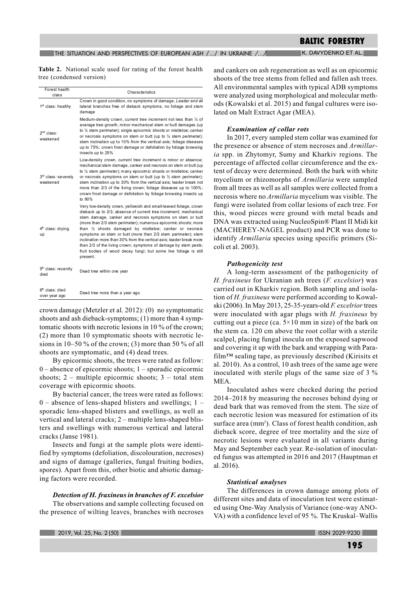# The situation and perspectives of european ash  $/$ ... $/$  in ukraine  $/$ ... $/$   $\blacksquare$  is the K. Davydenko et al.

Table 2. National scale used for rating of the forest health tree (condensed version)

| Forest health<br>class                  | Characteristics                                                                                                                                                                                                                                                                                                                                                                                                                                                                                                                                                                                                                        |
|-----------------------------------------|----------------------------------------------------------------------------------------------------------------------------------------------------------------------------------------------------------------------------------------------------------------------------------------------------------------------------------------------------------------------------------------------------------------------------------------------------------------------------------------------------------------------------------------------------------------------------------------------------------------------------------------|
| 1 <sup>st</sup> class: healthy          | Crown in good condition, no symptoms of damage. Leader and all<br>lateral branches free of dieback symptoms, no foliage and stem<br>damage                                                                                                                                                                                                                                                                                                                                                                                                                                                                                             |
| $2nd$ class:<br>weakened                | Medium-density crown, current tree increment not less than 1/2 of<br>average tree growth, minor mechanical stem or butt damages (up<br>to 1/4 stem perimeter); single epicormic shoots or mistletoe; canker<br>or necrosis symptoms on stem or butt (up to $\frac{1}{4}$ stem perimeter);<br>stem inclination up to 10% from the vertical axis; foliage diseases<br>up to 75%; crown frost damage or defoliation by foliage browsing<br>insects up to 25%                                                                                                                                                                              |
| 3rd class: severely<br>weakened         | Low-density crown, current tree increment is minor or absence;<br>mechanical stem damage, canker and necrosis on stem or butt (up<br>to $\frac{1}{2}$ stem perimeter); many epicomic shoots or mistletoe; canker<br>or necrosis symptoms on stem or butt (up to $\frac{1}{2}$ stem perimeter);<br>stem inclination up to 30% from the vertical axis; leader break not<br>more than 2/3 of the living crown; foliage diseases up to 100%;<br>crown frost damage or defoliation by foliage browsing insects up<br>to 90%                                                                                                                 |
| 4 <sup>th</sup> class: drying<br>up     | Very low-density crown, yellowish and small-leaved foliage, crown<br>dieback up to 2/3; absence of current tree increment; mechanical<br>stem damage, canker and necrosis symptoms on stem or butt<br>(more than 2/3 stem perimeter); numerous epicormic shoots; more<br>than $\frac{1}{2}$ shoots damaged by mistletoe; canker or necrosis<br>symptoms on stem or butt (more than 2/3 stem perimeter); stem<br>inclination more than 30% from the vertical axis: leader break more<br>than 2/3 of the living crown; symptoms of damage by stem pests;<br>fruit bodies of wood decay fungi; but some live foliage is still<br>present. |
| 5 <sup>th</sup> class: recently<br>died | Dead tree within one year                                                                                                                                                                                                                                                                                                                                                                                                                                                                                                                                                                                                              |
| $6th$ class: died<br>over year ago      | Dead tree more than a year ago                                                                                                                                                                                                                                                                                                                                                                                                                                                                                                                                                                                                         |

crown damage (Metzler et al. 2012): (0) no symptomatic shoots and ash dieback-symptoms;  $(1)$  more than 4 sympto matic shoots with necrotic lesions in 10  $\%$  of the crown;  $(2)$  more than 10 symptomatic shoots with necrotic lesions in 10–50 % of the crown; (3) more than 50 % of all shoots are symptomatic, and (4) dead trees.

By epicormic shoots, the trees were rated as follow:  $0$  – absence of epicormic shoots; 1 – sporadic epicormic shoots;  $2$  – multiple epicormic shoots;  $3$  – total stem coverage with epicormic shoots.

By bacterial cancer, the trees were rated as follows:  $0$  – absence of lens-shaped blisters and swellings; 1 – sporadic lens-shaped blisters and swellings, as well as vertical and lateral cracks; 2 - multiple lens-shaped blisters and swellings with numerous vertical and lateral cracks (Janse 1981).

Insects and fungi at the sample plots were identified by symptoms (defoliation, discolouration, necroses) and signs of damage (galleries, fungal fruiting bodies, spores). Apart from this, other biotic and abiotic damaging factors were recorded.

# Detection of  $H$ , fraxineus in branches of  $F$ , excelsior

The observations and sample collecting focused on the presence of wilting leaves, branches with necroses

and cankers on ash regeneration as well as on epicormic shoots of the tree stems from felled and fallen ash trees. All environmental samples with typical ADB symptoms were analyzed using morphological and molecular methods (Kowalski et al. 2015) and fungal cultures were isolated on Malt Extract Agar (MEA).

# **Examination of collar rots**

In 2017, every sampled stem collar was examined for the presence or absence of stem necroses and Armillar*ia* spp. in Zhytomyr. Sumy and Kharkiy regions. The percentage of affected collar circumference and the extent of decay were determined. Both the bark with white mycelium or rhizomorphs of Armillaria were sampled from all trees as well as all samples were collected from a necrosis where no *Armillaria* mycelium was visible. The fungi were isolated from collar lesions of each tree. For this, wood pieces were ground with metal beads and DNA was extracted using NucleoSpin® Plant II Midi kit (MACHEREY-NAGEL product) and PCR was done to identify Armillaria species using specific primers (Sicoli et al. 2003).

# **Pathogenicity test**

A long-term assessment of the pathogenicity of H. fraxineus for Ukranian ash trees (F. excelsior) was carried out in Kharkiv region. Both sampling and isolation of H. fraxineus were performed according to Kowalski (2006). In May 2013, 25-35-years-old F. excelrior trees were inoculated with agar plugs with  $H$ . fraxineus by cutting out a piece (ca.  $5 \times 10$  mm in size) of the bark on the stem ca. 120 cm above the root collar with a sterile scalpel, placing fungal inocula on the exposed sapwood and covering it up with the bark and wrapping with Parafilm™ sealing tape, as previously described (Kirisits et al.  $2010$ ). As a control, 10 ash trees of the same age were inoculated with sterile plugs of the same size of  $3\%$ MEA.

Inoculated ashes were checked during the period  $2014 - 2018$  by measuring the necroses behind dying or dead bark that was removed from the stem. The size of each necrotic lesion was measured for estimation of its surface area (mm<sup>2</sup>). Class of forest health condition, ash dieback score, degree of tree mortality and the size of necrotic lesions were evaluated in all variants during May and September each year. Re-isolation of inoculated fungus was attempted in 2016 and 2017 (Hauptman et al. 2016).

#### **Statistical analyses**

The differences in crown damage among plots of different sites and data of inoculation test were estimated using One-Way Analysis of Variance (one-way ANO-VA) with a confidence level of 95 %. The Kruskal–Wallis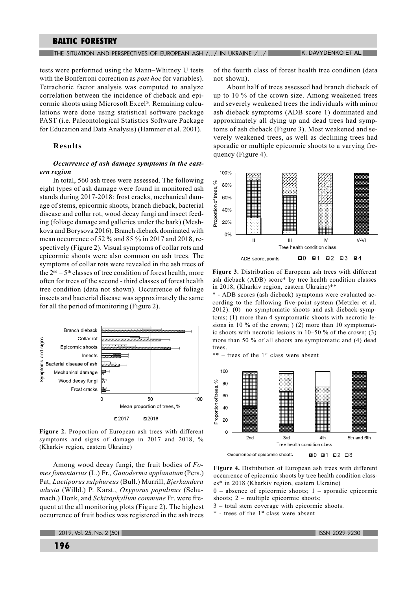The situation and perspectives of european ash  $/$  ...  $/$  in ukraine  $/$  ...  $/$  in  $\blacksquare$  is . Davydenko et al.

tests were performed using the Mann–Whitney U tests with the Bonferroni correction as *post hoc* for variables). Tetrachoric factor analysis was computed to analyze correlation between the incidence of dieback and epicormic shoots using Microsoft Excel®. Remaining calculations were done using statistical software package PAST (i.e. Paleontological Statistics Software Package for Education and Data Analysis) (Hammer et al. 2001).

# **Results**

# Occurrence of ash damage symptoms in the eastern region

In total, 560 ash trees were assessed. The following eight types of ash damage were found in monitored ash stands during 2017-2018: frost cracks, mechanical damage of stems, epicormic shoots, branch dieback, bacterial disease and collar rot, wood decay fungi and insect feeding (foliage damage and galleries under the bark) (Meshkova and Borysova 2016). Branch dieback dominated with mean occurrence of 52  $\%$  and 85  $\%$  in 2017 and 2018, respectively (Figure 2). Visual symptoms of collar rots and epicormic shoots were also common on ash trees. The symptoms of collar rots were revealed in the ash trees of the  $2<sup>nd</sup> - 5<sup>th</sup>$  classes of tree condition of forest health, more often for trees of the second - third classes of forest health tree condition (data not shown). Occurrence of foliage insects and bacterial disease was approximately the same for all the period of monitoring (Figure 2).



Figure 2. Proportion of European ash trees with different symptoms and signs of damage in 2017 and 2018,  $\%$ (Kharkiv region, eastern Ukraine)

Among wood decay fungi, the fruit bodies of  $Fo$ mes fomentarius (L.) Fr., Ganoderma applanatum (Pers.) Pat. Laetiporus sulphureus (Bull.) Murrill. Bierkandera adusta (Willd.) P. Karst., Oxyporus populinus (Schumach.) Donk, and Schizophyllum commune Fr. were frequent at the all monitoring plots (Figure 2). The highest occurrence of fruit bodies was registered in the ash trees of the fourth class of forest health tree condition (data not shown).

About half of trees assessed had branch dieback of up to 10  $\%$  of the crown size. Among weakened trees and severely weakened trees the individuals with minor ash dieback symptoms (ADB score 1) dominated and approximately all dying up and dead trees had symptoms of ash dieback (Figure 3). Most weakened and severely weakened trees, as well as declining trees had sporadic or multiple epicormic shoots to a varying frequency (Figure 4).



Figure 3. Distribution of European ash trees with different ash dieback (ADB) score\* by tree health condition classes in 2018, (Kharkiv region, eastern Ukraine)\*\*

\* - ADB scores (ash dieback) symptoms were evaluated according to the following five-point system (Metzler et al. 2012): (0) no symptomatic shoots and ash dieback-symptoms; (1) more than 4 symptomatic shoots with necrotic lesions in 10 % of the crown;  $(2)$  more than 10 symptomatic shoots with necrotic lesions in  $10-50\%$  of the crown; (3) more than 50 % of all shoots are symptomatic and (4) dead trees.

 $**$  – trees of the 1<sup>st</sup> class were absent



Figure 4. Distribution of European ash trees with different occurrence of epicormic shoots by tree health condition classes\* in 2018 (Kharkiv region, eastern Ukraine)

 $0$  – absence of epicormic shoots; 1 – sporadic epicormic shoots;  $2$  – multiple epicormic shoots;

- $3$  total stem coverage with epicormic shoots.
- \* trees of the 1<sup>st</sup> class were absent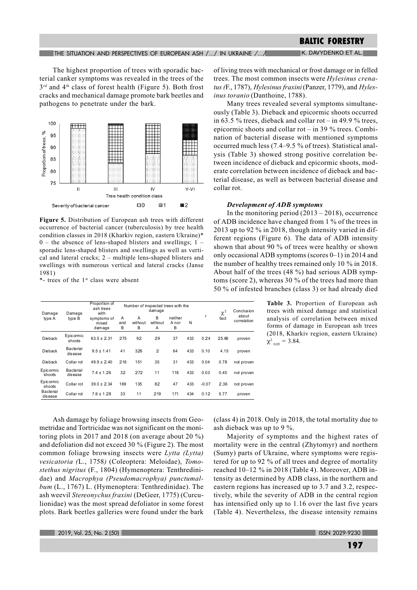# THE SITUATION AND PERSPECTIVES OF EUROPEAN ASH /.../ IN UKRAINE /.../ K. DAVYDENKO ET AL.

The highest proportion of trees with sporadic bacterial canker symptoms was revealed in the trees of the 3rd and 4th class of forest health (Figure 5). Both frost cracks and mechanical damage promote bark beetles and pathogens to penetrate under the bark.



Figure 5. Distribution of European ash trees with different occurrence of bacterial cancer (tuberculosis) by tree health condition classes in 2018 (Kharkiv region, eastern Ukraine)\*  $0$  – the absence of lens-shaped blisters and swellings; 1 – sporadic lens-shaped blisters and swellings as well as vertical and lateral cracks;  $2$  – multiple lens-shaped blisters and swellings with numerous vertical and lateral cracks (Janse 1981)

\*- trees of the 1<sup>st</sup> class were absent

| Damage               | Damage               | Proportion of<br>ash trees<br>with | Number of inspected trees with the<br>damage |                   |                   |                       |     | $\chi^2$ | Conclusio |                      |
|----------------------|----------------------|------------------------------------|----------------------------------------------|-------------------|-------------------|-----------------------|-----|----------|-----------|----------------------|
| type A               | type B               | symptoms of<br>mixed<br>damage     | A<br>and<br>B                                | A<br>without<br>в | B<br>without<br>A | neither<br>A nor<br>B | N   | r        | fact      | about<br>correlation |
| Dieback              | Epicormic<br>shoots  | $63.5 \pm 2.31$                    | 275                                          | 92                | 29                | 37                    | 433 | 0.24     | 25.69     | proven               |
| Dieback              | Bacterial<br>disease | $9.5 \pm 1.41$                     | 41                                           | 326               | $\overline{2}$    | 64                    | 433 | 0.10     | 4.15      | proven               |
| Dieback              | Collar rot           | $49.9 \pm 2.40$                    | 216                                          | 151               | 35                | 31                    | 433 | 0.04     | 0.78      | not prover           |
| Epicormic<br>shoots  | Bacterial<br>disease | $7.4 \pm 1.26$                     | 32                                           | 272               | 11                | 118                   | 433 | 0.03     | 0.40      | not prover           |
| Epicormic<br>shoots  | Collar rot           | $39.0 \pm 2.34$                    | 169                                          | 135               | 82                | 47                    | 433 | $-0.07$  | 2.36      | not prover           |
| Bacterial<br>disease | Collar rot           | $7.6 \pm 1.28$                     | 33                                           | 11                | 219               | 171                   | 434 | 0.12     | 5.77      | proven               |

of living trees with mechanical or frost damage or in felled trees. The most common insects were *Hylesinus crena*tus (F., 1787), Hylesinus fraxini (Panzer, 1779), and Hylesinus toranio (Danthoine, 1788).

Many trees revealed several symptoms simultaneously (Table 3). Dieback and epicormic shoots occurred in 63.5 % trees, dieback and collar rot - in 49.9 % trees, epicormic shoots and collar rot – in 39  $\%$  trees. Combination of bacterial disease with mentioned symptoms occurred much less (7.4–9.5 % of trees). Statistical analysis (Table 3) showed strong positive correlation between incidence of dieback and epicormic shoots, moderate correlation between incidence of dieback and bacterial disease, as well as between bacterial disease and collar rot.

#### **Development of ADB symptoms**

In the monitoring period  $(2013 - 2018)$ , occurrence of ADB incidence have changed from 1 % of the trees in 2013 up to 92 % in 2018, though intensity varied in different regions (Figure 6). The data of ADB intensity shown that about 90 % of trees were healthy or shown only occasional ADB symptoms (scores  $0-1$ ) in 2014 and the number of healthy trees remained only 10 % in 2018. About half of the trees (48 %) had serious ADB symptoms (score 2), whereas 30 % of the trees had more than 50 % of infested branches (class 3) or had already died

> Table 3. Proportion of European ash trees with mixed damage and statistical analysis of correlation between mixed forms of damage in European ash trees (2018, Kharkiv region, eastern Ukraine)  $\chi^2_{0.05} = 3.84.$

Ash damage by foliage browsing insects from Geometridae and Tortricidae was not significant on the monitoring plots in 2017 and 2018 (on average about 20  $\%$ ) and defoliation did not exceed 30 % (Figure 2). The most common foliage browsing insects were Lytta (Lytta) vesicatoria (L., 1758) (Coleoptera: Meloidae), Tomostethus nigritus (F., 1804) (Hymenoptera: Tenthredinidae) and Macrophya (Pseudomacrophya) punctumalbum (L., 1767) L. (Hymenoptera: Tenthredinidae). The ash weevil Stereonychus fraxini (DeGeer, 1775) (Curculionidae) was the most spread defoliator in some forest plots. Bark beetles galleries were found under the bark

(class 4) in 2018. Only in 2018, the total mortality due to ash dieback was up to 9  $\%$ .

Majority of symptoms and the highest rates of mortality were in the central (Zhytomyr) and northern (Sumy) parts of Ukraine, where symptoms were registered for up to 92 % of all trees and degree of mortality reached 10-12 % in 2018 (Table 4). Moreover, ADB intensity as determined by ADB class, in the northern and eastern regions has increased up to 3.7 and 3.2, respectively, while the severity of ADB in the central region has intensified only up to 1.16 over the last five years (Table 4). Nevertheless, the disease intensity remains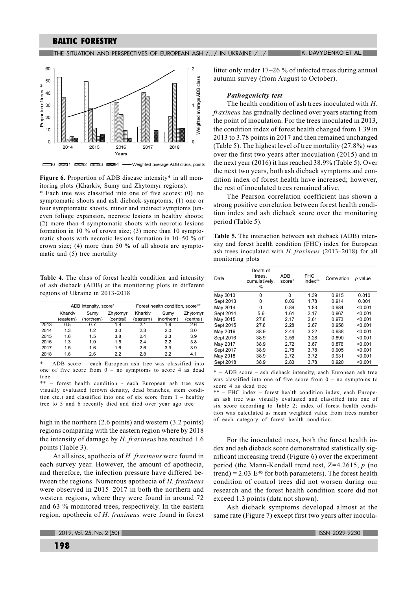# The situation and perspectives of european ash  $/$  ...  $/$  in ukraine  $/$  ...  $/$  in  $\blacksquare$  is . Davydenko et al.



Figure 6. Proportion of ADB disease intensity\* in all monitoring plots (Kharkiv, Sumy and Zhytomyr regions).

\* Each tree was classified into one of five scores: (0) no symptomatic shoots and ash dieback-symptoms; (1) one or four symptomatic shoots, minor and indirect symptoms (uneven foliage expansion, necrotic lesions in healthy shoots; (2) more than 4 symptomatic shoots with necrotic lesions formation in 10 % of crown size; (3) more than 10 symptomatic shoots with necrotic lesions formation in  $10-50\%$  of crown size; (4) more than 50 % of all shoots are symptomatic and  $(5)$  tree mortality

Table 4. The class of forest health condition and intensity of ash dieback (ADB) at the monitoring plots in different regions of Ukraine in 2013-2018

|      |           | ADB intensity, score* |           | Forest health condition, score** |            |           |  |
|------|-----------|-----------------------|-----------|----------------------------------|------------|-----------|--|
|      | Kharkiv   | Sumy                  | Zhytomyr  | Kharkiv                          | Sumy       | Zhytomyr  |  |
|      | (eastern) | (northern)            | (central) | (eastern)                        | (northern) | (central) |  |
| 2013 | 0.5       |                       | 1.9       | 2.1                              | 1.9        | 2.6       |  |
| 2014 | 1.3       | 1.2                   | 3.0       | 2.3                              | 2.0        | 3.0       |  |
| 2015 | 1.6       | 1.5                   | 3.8       | 2.4                              | 2.3        | 3.9       |  |
| 2016 | 1.3       | 1.0                   | 1.5       | 24                               | 2.2        | 3.8       |  |
| 2017 | 1.5       | 1.6                   | 1.6       | 2.6                              | 3.9        | 3.9       |  |
| 2018 | 1.6       | 2.6                   | 2.2       | 2.8                              | 2.2        | 4.1       |  |

\* - ADB score - each European ash tree was classified into one of five score from  $0 -$  no symptoms to score 4 as dead tree

\*\* - forest health condition - each European ash tree was visually evaluated (crown density, dead branches, stem condition etc.) and classified into one of six score from  $1 -$  healthy tree to 5 and 6 recently died and died over year ago tree

high in the northern  $(2.6 \text{ points})$  and western  $(3.2 \text{ points})$ regions comparing with the eastern region where by 2018 the intensity of damage by  $H$ . fraxineus has reached 1.6 points (Table 3).

At all sites, apothecia of H. fraxineus were found in each survey year. However, the amount of apothecia, and therefore, the infection pressure have differed between the regions. Numerous apothecia of  $H$ , fraxineus were observed in  $2015-2017$  in both the northern and western regions, where they were found in around 72 and 63 % monitored trees, respectively. In the eastern region, apothecia of *H. fraxineus* were found in forest litter only under  $17-26\%$  of infected trees during annual autumn survey (from August to October).

## **Pathogenicity test**

The health condition of ash trees inoculated with  $H$ . fraxineus has gradually declined over years starting from the point of inoculation. For the trees inoculated in 2013, the condition index of forest health changed from 1.39 in  $2013$  to 3.78 points in 2017 and then remained unchanged (Table 5). The highest level of tree mortality  $(27.8\%)$  was over the first two years after inoculation  $(2015)$  and in the next vear  $(2016)$  it has reached 38.9% (Table 5). Over the next two years, both ash dieback symptoms and condition index of forest health have increased; however, the rest of inoculated trees remained alive.

The Pearson correlation coefficient has shown a strong positive correlation between forest health condition index and ash dieback score over the monitoring period (Table 5).

Table 5. The interaction between ash dieback (ADB) intensity and forest health condition (FHC) index for European ash trees inoculated with  $H$ . fraxineus (2013-2018) for all monitoring plots

| Date      | Death of<br>trees.<br>cumulatively,<br>℅ | <b>ADB</b><br>score* | <b>FHC</b><br>index** | Correlation | $p$ value |
|-----------|------------------------------------------|----------------------|-----------------------|-------------|-----------|
| May 2013  | 0                                        | 0                    | 1.39                  | 0.915       | 0.010     |
| Sept 2013 | $\Omega$                                 | 0.06                 | 1.78                  | 0.914       | 0.004     |
| May 2014  | 0                                        | 0.89                 | 1.83                  | 0.984       | < 0.001   |
| Sept 2014 | 5.6                                      | 1.61                 | 2.17                  | 0.967       | < 0.001   |
| May 2015  | 27.8                                     | 2.17                 | 2.61                  | 0.973       | < 0.001   |
| Sept 2015 | 27.8                                     | 2.28                 | 2.67                  | 0.958       | < 0.001   |
| May 2016  | 38.9                                     | 2.44                 | 3.22                  | 0.938       | < 0.001   |
| Sept 2016 | 38.9                                     | 2.56                 | 3.28                  | 0.890       | < 0.001   |
| May 2017  | 38.9                                     | 2.72                 | 3.67                  | 0.876       | < 0.001   |
| Sept 2017 | 38.9                                     | 2.78                 | 3.78                  | 0.905       | < 0.001   |
| May 2018  | 38.9                                     | 2.72                 | 3.72                  | 0.931       | < 0.001   |
| Sept 2018 | 38.9                                     | 2.83                 | 3.78                  | 0.920       | < 0.001   |

\* - ADB score - ash dieback intensity, each European ash tree was classified into one of five score from  $0 -$  no symptoms to score 4 as dead tree

\*\* - FHC index - forest health condition index, each European ash tree was visually evaluated and classified into one of  $six$  score according to Table 2; index of forest health condition was calculated as mean weighted value from trees number of each category of forest health condition.

For the inoculated trees, both the forest health index and ash dieback score demonstrated statistically significant increasing trend (Figure 6) over the experiment period (the Mann-Kendall trend test,  $Z=4.2615$ ,  $p$  (no trend) = 2.03  $E^{-0.5}$  for both parameters). The forest health condition of control trees did not worsen during our research and the forest health condition score did not  $exceed 1.3 points (data not shown).$ 

Ash dieback symptoms developed almost at the same rate (Figure 7) except first two years after inocula-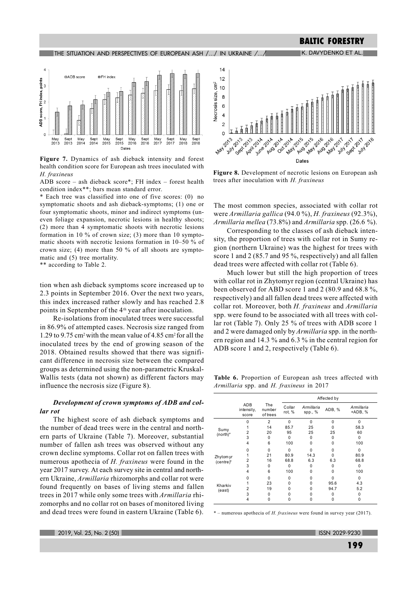# K. DAVYDENKO ET AL. **BALTIC FORESTRY**

#### THE SITUATION AND PERSPECTIVES OF EUROPEAN ASH /.../ IN UKRAINE /.../



Figure 7. Dynamics of ash dieback intensity and forest health condition score for European ash trees inoculated with H. fraxineus

ADB score - ash dieback score\*; FH index - forest health condition index\*\*; bars mean standard error.

\* Each tree was classified into one of five scores: (0) no symptomatic shoots and ash dieback-symptoms; (1) one or four symptomatic shoots, minor and indirect symptoms (uneven foliage expansion, necrotic lesions in healthy shoots; (2) more than 4 symptomatic shoots with necrotic lesions formation in 10  $\%$  of crown size; (3) more than 10 symptomatic shoots with necrotic lesions formation in  $10-50\%$  of crown size; (4) more than 50 % of all shoots are symptomatic and  $(5)$  tree mortality.

\*\* according to Table 2.

tion when ash dieback symptoms score increased up to 2.3 points in September 2016. Over the next two years, this index increased rather slowly and has reached 2.8 points in September of the 4<sup>th</sup> year after inoculation.

Re-isolations from inoculated trees were successful in 86.9% of attempted cases. Necrosis size ranged from 1.29 to 9.75 cm<sup>2</sup> with the mean value of 4.85 cm<sup>2</sup> for all the inoculated trees by the end of growing season of the 2018. Obtained results showed that there was significant difference in necrosis size between the compared groups as determined using the non-parametric Kruskal-Wallis tests (data not shown) as different factors may influence the necrosis size (Figure 8).

# Development of crown symptoms of ADB and collar rot

The highest score of ash dieback symptoms and the number of dead trees were in the central and northern parts of Ukraine (Table 7). Moreover, substantial number of fallen ash trees was observed without any crown decline symptoms. Collar rot on fallen trees with numerous apothecia of *H. fraxineus* were found in the year 2017 survey. At each survey site in central and northern Ukraine, Armillaria rhizomorphs and collar rot were found frequently on bases of living stems and fallen trees in 2017 while only some trees with Armillaria rhizomorphs and no collar rot on bases of monitored living and dead trees were found in eastern Ukraine (Table  $6$ ).



Figure 8. Development of necrotic lesions on European ash trees after inoculation with H. fraxineus

The most common species, associated with collar rot were Armillaria gallica (94.0 %), H. fraxineus (92.3%), Armillaria mellea  $(73.8\%)$  and Armillaria spp.  $(26.6\%)$ .

Corresponding to the classes of ash dieback intensity, the proportion of trees with collar rot in Sumy region (northern Ukraine) was the highest for trees with score 1 and 2 (85.7 and 95 %, respectively) and all fallen  $\alpha$  dead trees were affected with collar rot (Table 6).

Much lower but still the high proportion of trees with collar rot in Zhytomyr region (central Ukraine) has been observed for ABD score 1 and 2 (80.9 and 68.8%, respectively) and all fallen dead trees were affected with collar rot. Moreover, both H. fraxineus and Armillaria spp. were found to be associated with all trees with collar rot (Table 7). Only 25 % of trees with ADB score 1 and 2 were damaged only by *Armillaria* spp. in the northern region and 14.3 % and 6.3 % in the central region for ADB score 1 and 2, respectively (Table 6).

Table 6. Proportion of European ash trees affected with Armillaria spp. and H. fraxineus in 2017

|                  |                            |                           | Affected by      |                       |          |                       |  |  |
|------------------|----------------------------|---------------------------|------------------|-----------------------|----------|-----------------------|--|--|
|                  | ADB<br>intensity,<br>score | The<br>number<br>of trees | Collar<br>rot, % | Armillaria<br>spp., % | ADB, %   | Armillaria<br>+ADB, % |  |  |
|                  | $\Omega$                   | $\overline{2}$            | $\Omega$         | $\Omega$              | $\Omega$ | $\Omega$              |  |  |
|                  |                            | 14                        | 85.7             | 25                    | 0        | 58.3                  |  |  |
| Sumy<br>(north)* | 2                          | 20                        | 95               | 25                    | 25       | 60                    |  |  |
|                  | 3                          | 0                         | $\Omega$         | 0                     | 0        | $\Omega$              |  |  |
|                  | 4                          | 6                         | 100              | O                     | 0        | 100                   |  |  |
|                  | 0                          | $\Omega$                  | $\Omega$         | O                     | 0        | $\Omega$              |  |  |
| Zhytom yr        |                            | 21                        | 80.9             | 14.3                  | 0        | 80.9                  |  |  |
| (centre)*        | 2                          | 16                        | 68.8             | 6.3                   | 6.3      | 68.8                  |  |  |
|                  | 3                          | 0                         | $\Omega$         | $\Omega$              | $\Omega$ | $\Omega$              |  |  |
|                  | 4                          | 6                         | 100              | 0                     | 0        | 100                   |  |  |
|                  | 0                          | 0                         | $\Omega$         | O                     | 0        | $\Omega$              |  |  |
| Kharkiv          |                            | 23                        | $\Omega$         | O                     | 95.6     | 4.3                   |  |  |
| (east)           | $\overline{2}$             | 19                        | O                | O                     | 94.7     | 5.2                   |  |  |
|                  | 3                          | O                         | $\Omega$         | <sup>0</sup>          | $\Omega$ | $\Omega$              |  |  |
|                  | 4                          | 0                         | $\Omega$         | 0                     | 0        | 0                     |  |  |

\* - numerous apothecia of *H. fraxineus* were found in survey year (2017).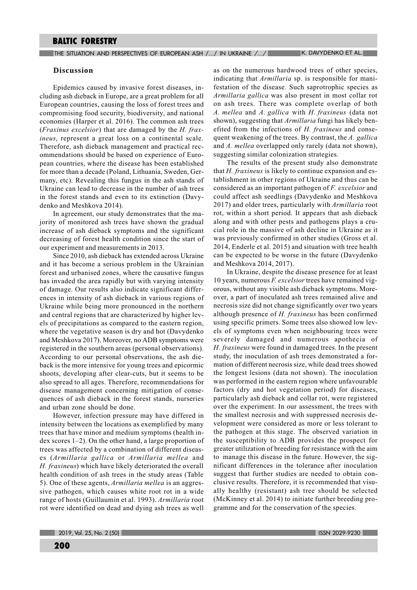## **Discussion**

Epidemics caused by invasive forest diseases, including ash dieback in Europe, are a great problem for all European countries, causing the loss of forest trees and compromising food security, biodiversity, and national economies (Harper et al. 2016). The common ash trees (*Fraxinus excelsior*) that are damaged by the  $H$ . fraxineus, represent a great loss on a continental scale. Therefore, ash dieback management and practical recommendations should be based on experience of European countries, where the disease has been established -<br>for more than a decade (Poland, Lithuania, Sweden, Germany, etc). Revealing this fungus in the ash stands of Ukraine can lead to decrease in the number of ash trees in the forest stands and even to its extinction (Davydenko and Meshkova 2014).

In agreement, our study demonstrates that the majority of monitored ash trees have shown the gradual increase of ash dieback symptoms and the significant decreasing of forest health condition since the start of our experiment and measurements in 2013.

Since 2010, ash dieback has extended across Ukraine and it has become a serious problem in the Ukrainian forest and urbanised zones, where the causative fungus has invaded the area rapidly but with varying intensity of damage. Our results also indicate significant differences in intensity of ash dieback in various regions of Ukraine while being more pronounced in the northern and central regions that are characterized by higher levels of precipitations as compared to the eastern region, where the vegetative season is dry and hot (Davydenko and Meshkova 2017). Moreover, no ADB symptoms were registered in the southern areas (personal observations). According to our personal observations, the ash dieback is the more intensive for young trees and epicormic shoots, developing after clear-cuts, but it seems to be also spread to all ages. Therefore, recommendations for disease management concerning mitigation of consequences of ash dieback in the forest stands, nurseries and urban zone should be done.

However, infection pressure may have differed in intensity between the locations as exemplified by many trees that have minor and medium symptoms (health index scores  $1-2$ ). On the other hand, a large proportion of trees was affected by a combination of different diseases (Armillaria gallica or Armillaria mellea and H. fraxineus) which have likely deteriorated the overall health condition of ash trees in the study areas (Table 5). One of these agents, *Armillaria mellea* is an aggressive pathogen, which causes white root rot in a wide range of hosts (Guillaumin et al. 1993). Armillaria root rot were identified on dead and dying ash trees as well

as on the numerous hardwood trees of other species, indicating that *Armillaria* sp. is responsible for manifestation of the disease. Such saprotrophic species as Armillaria gallica was also present in most collar rot on ash trees. There was complete overlap of both A. mellea and A. gallica with H. fraxineus (data not shown), suggesting that *Armillaria* fungi has likely benefited from the infections of  $H$ . fraxineus and consequent weakening of the trees. By contrast, the  $A$ . gallica and A. mellea overlapped only rarely (data not shown), suggesting similar colonization strategies.

The results of the present study also demonstrate that  $H$ . fraxineus is likely to continue expansion and establishment in other regions of Ukraine and thus can be considered as an important pathogen of  $F$ . excelsior and could affect ash seedlings (Davydenko and Meshkova 2017) and older trees, particularly with Armillaria root rot, within a short period. It appears that ash dieback along and with other pests and pathogens plays a crucial role in the massive of ash decline in Ukraine as it was previously confirmed in other studies (Gross et al.  $2014$ , Enderle et al.  $2015$ ) and situation with tree health can be expected to be worse in the future (Davydenko and Meshkova 2014, 2017).

In Ukraine, despite the disease presence for at least 10 years, numerous *F. excelsior* trees have remained vigorous, without any visible ash dieback symptoms. Moreover, a part of inoculated ash trees remained alive and necrosis size did not change significantly over two years although presence of  $H$ . fraxineus has been confirmed using specific primers. Some trees also showed low levels of symptoms even when neighbouring trees were severely damaged and numerous apothecia of H. fraxineus were found in damaged trees. In the present study, the inoculation of ash trees demonstrated a formation of different necrosis size, while dead trees showed the longest lesions (data not shown). The inoculation was performed in the eastern region where unfavourable factors (dry and hot vegetation period) for diseases, particularly ash dieback and collar rot, were registered over the experiment. In our assessment, the trees with the smallest necrosis and with suppressed necrosis development were considered as more or less tolerant to the pathogen at this stage. The observed variation in the susceptibility to ADB provides the prospect for greater utilization of breeding for resistance with the aim to manage this disease in the future. However, the significant differences in the tolerance after inoculation suggest that further studies are needed to obtain conclusive results. Therefore, it is recommended that visually healthy (resistant) ash tree should be selected (McKinney et al.  $2014$ ) to initiate further breeding programme and for the conservation of the species.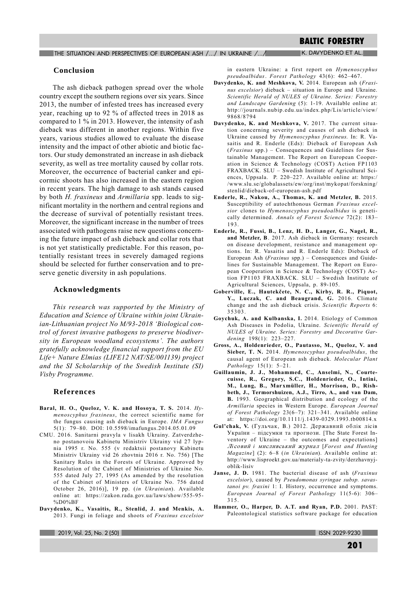THE SITUATION AND PERSPECTIVES OF EUROPEAN ASH /.../ IN UKRAINE /.../

K. DAVYDENKO ET AL.

## **Conclusion**

The ash dieback pathogen spread over the whole country except the southern regions over six years. Since 2013, the number of infested trees has increased every year, reaching up to 92 % of affected trees in 2018 as compared to  $1\%$  in 2013. However, the intensity of ash dieback was different in another regions. Within five years, various studies allowed to evaluate the disease intensity and the impact of other abiotic and biotic factors. Our study demonstrated an increase in ash dieback severity, as well as tree mortality caused by collar rots. Moreover, the occurrence of bacterial canker and epicormic shoots has also increased in the eastern region in recent vears. The high damage to ash stands caused by both H. fraxineus and Armillaria spp. leads to significant mortality in the northern and central regions and the decrease of survival of potentially resistant trees. Moreover, the significant increase in the number of trees associated with pathogens raise new questions concerning the future impact of ash dieback and collar rots that is not yet statistically predictable. For this reason, potentially resistant trees in severely damaged regions should be selected for further conservation and to preserve genetic diversity in ash populations.

# **Acknowledgments**

This research was supported by the Ministry of Education and Science of Ukraine within joint Ukrainian-Lithuanian proiect No M/93-2018 'Biological control of forest invasive pathogens to preserve biodiversity in European woodland ecosystems'. The authors gratefully acknowledge financial support from the EU Life+ Nature Elmias (LIFE12 NAT/SE/001139) project and the SI Scholarship of the Swedish Institute (SI) Visby Programme.

# **References**

- Baral, H. O., Queloz, V. K. and Hosoya, T. S. 2014. Hymenoscyphus fraxineus, the correct scientific name for the fungus causing ash dieback in Europe. IMA Fungus 5(1): 79-80. DOI: 10.5598/imafungus.2014.05.01.09
- CMU. 2016. Sanitarni pravyla v lisakh Ukrainy. Zatverdzheno postanovoiu Kabinetu Ministriv Ukrainy vid 27 lypnia 1995 r. No. 555 (v redaktsii postanovy Kabinetu Ministriy Ukrainy vid 26 zhovtnia 2016 r. No. 756) [The Sanitary Rules in the Forests of Ukraine. Approved by Resolution of the Cabinet of Ministries of Ukraine No. 555 dated July 27, 1995 (As amended by the resolution of the Cabinet of Ministers of Ukraine No. 756 dated October 26, 2016)], 19 pp. (in Ukrainian). Available online at: https://zakon.rada.gov.ua/laws/show/555-95- $\%$ D $0\%$ BF
- Davydenko, K., Vasaitis, R., Stenlid, J. and Menkis, A. 2013. Fungi in foliage and shoots of Fraxinus excelsior

2019, Vol. 25, No. 2

in eastern Ukraine: a first report on Hymenoscyphus pseudoalbidus. Forest Pathology 43(6): 462-467.

- Davydenko, K. and Meshkova, V. 2014. European ash  $(Fraxi$ nus excelsior) dieback – situation in Europe and Ukraine. Scientific Herald of NULES of Ukraine. Series: Forestry and Landscape Gardening (5): 1-19. Available online at: http://journals.nubip.edu.ua/index.php/Lis/article/view/ 9868/8794
- Davydenko, K. and Meshkova, V. 2017. The current situation concerning severity and causes of ash dieback in Ukraine caused by Hymenoscyphus fraxineus. In: R. Vasaitis and R. Enderle (Eds): Dieback of European Ash  $(Fraxinus$  spp.) – Consequences and Guidelines for Sustainable Management. The Report on European Cooperation in Science & Technology (COST) Action FP1103 FRAXBACK. SLU - Swedish Institute of Agricultural Sciences. Unnsala. P. 220–227. Available online at: https:/ /www.slu.se/globalassets/ew/org/inst/mykopat/forskning/ stenlid/dieback-of-european-ash.pdf
- Enderle, R., Nakou, A., Thomas, K. and Metzler, B. 2015. Susceptibility of autochthonous German Fraxinus excelsior clones to Hymenoscyphus pseudoalbidus is genetically determined. Annals of Forest Science 72(2): 183-193.
- Enderle, R., Fussi, B., Lenz, H. D., Langer, G., Nagel, R., and Metzler, B. 2017. Ash dieback in Germany: research on disease development, resistance and management options. In: R. Vasaitis and R. Enderle Eds): Dieback of European Ash (Fraxinus spp.) - Consequences and Guidelines for Sustainable Management. The Report on European Cooperation in Science & Technology (COST) Action FP1103 FRAXBACK, SLU – Swedish Institute of Agricultural Sciences, Uppsala, p. 89-105.
- Goberville, E., Hautekčete, N. C., Kirby, R. R., Piquot, Y., Luczak, C. and Beaugrand, G. 2016. Climate change and the ash dieback crisis. Scientific Reports 6: 35303.
- Goychuk, A. and Kulbanska, I. 2014. Etiology of Common Ash Diseases in Podolia, Ukraine, Scientific Herald of NULES of Ukraine, Series: Forestry and Decorative Gardening 198(1): 223-227.
- Gross, A., Holdenrieder, O., Pautasso, M., Queloz, V. and Sieber, T. N. 2014. Hymenoscyphus pseudoalbidus, the causal agent of European ash dieback. Molecular Plant  $Pathology$  15(1): 5-21.
- Guillaumin, J. J., Mohammed, C., Anselmi, N., Courtecuisse, R., Gregory, S.C., Holdenrieder, O., Intini, M., Lung, B., Marxmüller, H., Morrison, D., Rishbeth, J., Termorshuizen, A.J., Tirro, A., and van Dam, B. 1993. Geographical distribution and ecology of the Armillaria species in Western Europe. European Journal of Forest Pathology  $23(6-7)$ :  $321-341$ . Available online at: https://doi.org/10.1111/j.1439-0329.1993.tb00814.x
- Gul'chak, V. (Гульчак, В.) 2012. Державний облік лісів України - підсумки та прогнози. [The State Forest Inventory of Ukraine - the outcomes and expectations] Лісовий і мисливський журнал [Forest and Hunting Magazine] (2): 6-8 (in Ukrainian). Available online at: http://www.lisproekt.gov.ua/materialy-ta-zvity/derzhavnyjoblik-lisiy
- Janse, J. D. 1981. The bacterial disease of ash (Fraxinus excelsior), caused by Pseudomonas syringae subsp. savastanoi pv. fraxini 1: I. History, occurrence and symptoms. European Journal of Forest Pathology  $11(5-6)$ : 306-315
- Hammer, O., Harper, D. A.T. and Ryan, P.D. 2001. PAST: Paleontological statistics software package for education